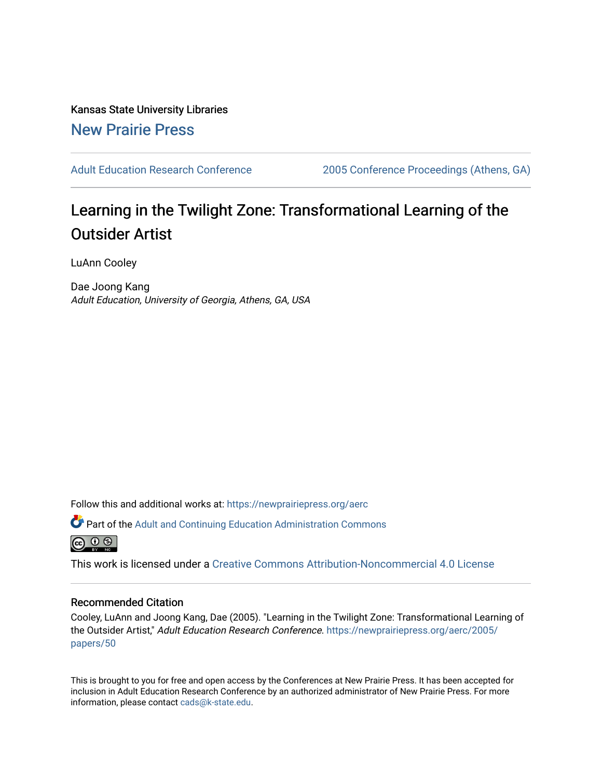Kansas State University Libraries [New Prairie Press](https://newprairiepress.org/) 

[Adult Education Research Conference](https://newprairiepress.org/aerc) [2005 Conference Proceedings \(Athens, GA\)](https://newprairiepress.org/aerc/2005) 

# Learning in the Twilight Zone: Transformational Learning of the Outsider Artist

LuAnn Cooley

Dae Joong Kang Adult Education, University of Georgia, Athens, GA, USA

Follow this and additional works at: [https://newprairiepress.org/aerc](https://newprairiepress.org/aerc?utm_source=newprairiepress.org%2Faerc%2F2005%2Fpapers%2F50&utm_medium=PDF&utm_campaign=PDFCoverPages)

Part of the [Adult and Continuing Education Administration Commons](http://network.bepress.com/hgg/discipline/789?utm_source=newprairiepress.org%2Faerc%2F2005%2Fpapers%2F50&utm_medium=PDF&utm_campaign=PDFCoverPages)



This work is licensed under a [Creative Commons Attribution-Noncommercial 4.0 License](https://creativecommons.org/licenses/by-nc/4.0/)

# Recommended Citation

Cooley, LuAnn and Joong Kang, Dae (2005). "Learning in the Twilight Zone: Transformational Learning of the Outsider Artist," Adult Education Research Conference. [https://newprairiepress.org/aerc/2005/](https://newprairiepress.org/aerc/2005/papers/50) [papers/50](https://newprairiepress.org/aerc/2005/papers/50) 

This is brought to you for free and open access by the Conferences at New Prairie Press. It has been accepted for inclusion in Adult Education Research Conference by an authorized administrator of New Prairie Press. For more information, please contact [cads@k-state.edu](mailto:cads@k-state.edu).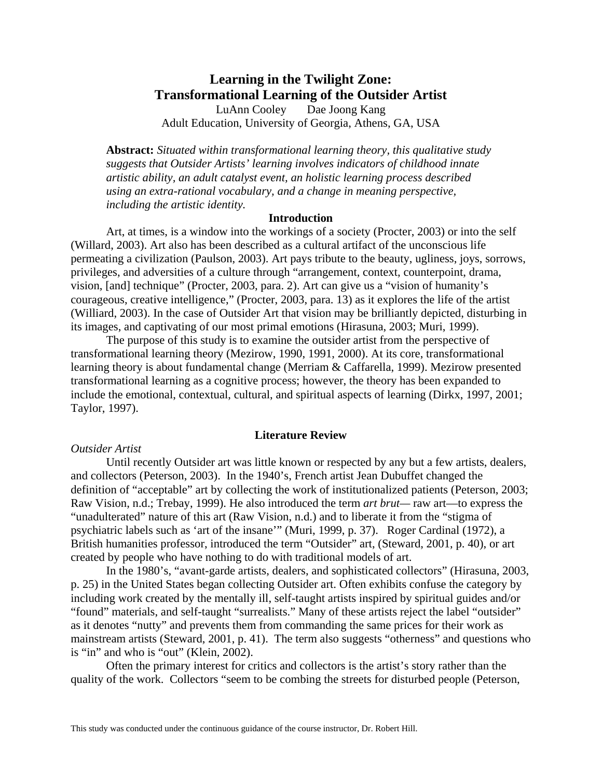# **Learning in the Twilight Zone: Transformational Learning of the Outsider Artist**  LuAnn Cooley Dae Joong Kang

Adult Education, University of Georgia, Athens, GA, USA

**Abstract:** *Situated within transformational learning theory, this qualitative study suggests that Outsider Artists' learning involves indicators of childhood innate artistic ability, an adult catalyst event, an holistic learning process described using an extra-rational vocabulary, and a change in meaning perspective, including the artistic identity.* 

# **Introduction**

Art, at times, is a window into the workings of a society (Procter, 2003) or into the self (Willard, 2003). Art also has been described as a cultural artifact of the unconscious life permeating a civilization (Paulson, 2003). Art pays tribute to the beauty, ugliness, joys, sorrows, privileges, and adversities of a culture through "arrangement, context, counterpoint, drama, vision, [and] technique" (Procter, 2003, para. 2). Art can give us a "vision of humanity's courageous, creative intelligence," (Procter, 2003, para. 13) as it explores the life of the artist (Williard, 2003). In the case of Outsider Art that vision may be brilliantly depicted, disturbing in its images, and captivating of our most primal emotions (Hirasuna, 2003; Muri, 1999).

The purpose of this study is to examine the outsider artist from the perspective of transformational learning theory (Mezirow, 1990, 1991, 2000). At its core, transformational learning theory is about fundamental change (Merriam & Caffarella, 1999). Mezirow presented transformational learning as a cognitive process; however, the theory has been expanded to include the emotional, contextual, cultural, and spiritual aspects of learning (Dirkx, 1997, 2001; Taylor, 1997).

#### **Literature Review**

#### *Outsider Artist*

Until recently Outsider art was little known or respected by any but a few artists, dealers, and collectors (Peterson, 2003). In the 1940's, French artist Jean Dubuffet changed the definition of "acceptable" art by collecting the work of institutionalized patients (Peterson, 2003; Raw Vision, n.d.; Trebay, 1999). He also introduced the term *art brut—* raw art—to express the "unadulterated" nature of this art (Raw Vision, n.d.) and to liberate it from the "stigma of psychiatric labels such as 'art of the insane'" (Muri, 1999, p. 37). Roger Cardinal (1972), a British humanities professor, introduced the term "Outsider" art, (Steward, 2001, p. 40), or art created by people who have nothing to do with traditional models of art.

In the 1980's, "avant-garde artists, dealers, and sophisticated collectors" (Hirasuna, 2003, p. 25) in the United States began collecting Outsider art. Often exhibits confuse the category by including work created by the mentally ill, self-taught artists inspired by spiritual guides and/or "found" materials, and self-taught "surrealists." Many of these artists reject the label "outsider" as it denotes "nutty" and prevents them from commanding the same prices for their work as mainstream artists (Steward, 2001, p. 41). The term also suggests "otherness" and questions who is "in" and who is "out" (Klein, 2002).

Often the primary interest for critics and collectors is the artist's story rather than the quality of the work. Collectors "seem to be combing the streets for disturbed people (Peterson,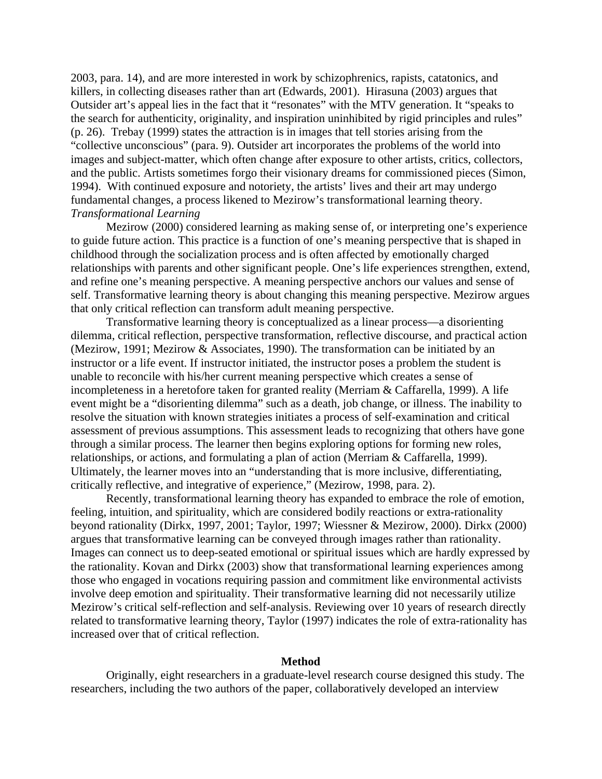2003, para. 14), and are more interested in work by schizophrenics, rapists, catatonics, and killers, in collecting diseases rather than art (Edwards, 2001). Hirasuna (2003) argues that Outsider art's appeal lies in the fact that it "resonates" with the MTV generation. It "speaks to the search for authenticity, originality, and inspiration uninhibited by rigid principles and rules" (p. 26). Trebay (1999) states the attraction is in images that tell stories arising from the "collective unconscious" (para. 9). Outsider art incorporates the problems of the world into images and subject-matter, which often change after exposure to other artists, critics, collectors, and the public. Artists sometimes forgo their visionary dreams for commissioned pieces (Simon, 1994). With continued exposure and notoriety, the artists' lives and their art may undergo fundamental changes, a process likened to Mezirow's transformational learning theory. *Transformational Learning* 

Mezirow (2000) considered learning as making sense of, or interpreting one's experience to guide future action. This practice is a function of one's meaning perspective that is shaped in childhood through the socialization process and is often affected by emotionally charged relationships with parents and other significant people. One's life experiences strengthen, extend, and refine one's meaning perspective. A meaning perspective anchors our values and sense of self. Transformative learning theory is about changing this meaning perspective. Mezirow argues that only critical reflection can transform adult meaning perspective.

Transformative learning theory is conceptualized as a linear process—a disorienting dilemma, critical reflection, perspective transformation, reflective discourse, and practical action (Mezirow, 1991; Mezirow & Associates, 1990). The transformation can be initiated by an instructor or a life event. If instructor initiated, the instructor poses a problem the student is unable to reconcile with his/her current meaning perspective which creates a sense of incompleteness in a heretofore taken for granted reality (Merriam & Caffarella, 1999). A life event might be a "disorienting dilemma" such as a death, job change, or illness. The inability to resolve the situation with known strategies initiates a process of self-examination and critical assessment of previous assumptions. This assessment leads to recognizing that others have gone through a similar process. The learner then begins exploring options for forming new roles, relationships, or actions, and formulating a plan of action (Merriam & Caffarella, 1999). Ultimately, the learner moves into an "understanding that is more inclusive, differentiating, critically reflective, and integrative of experience," (Mezirow, 1998, para. 2).

Recently, transformational learning theory has expanded to embrace the role of emotion, feeling, intuition, and spirituality, which are considered bodily reactions or extra-rationality beyond rationality (Dirkx, 1997, 2001; Taylor, 1997; Wiessner & Mezirow, 2000). Dirkx (2000) argues that transformative learning can be conveyed through images rather than rationality. Images can connect us to deep-seated emotional or spiritual issues which are hardly expressed by the rationality. Kovan and Dirkx (2003) show that transformational learning experiences among those who engaged in vocations requiring passion and commitment like environmental activists involve deep emotion and spirituality. Their transformative learning did not necessarily utilize Mezirow's critical self-reflection and self-analysis. Reviewing over 10 years of research directly related to transformative learning theory, Taylor (1997) indicates the role of extra-rationality has increased over that of critical reflection.

#### **Method**

Originally, eight researchers in a graduate-level research course designed this study. The researchers, including the two authors of the paper, collaboratively developed an interview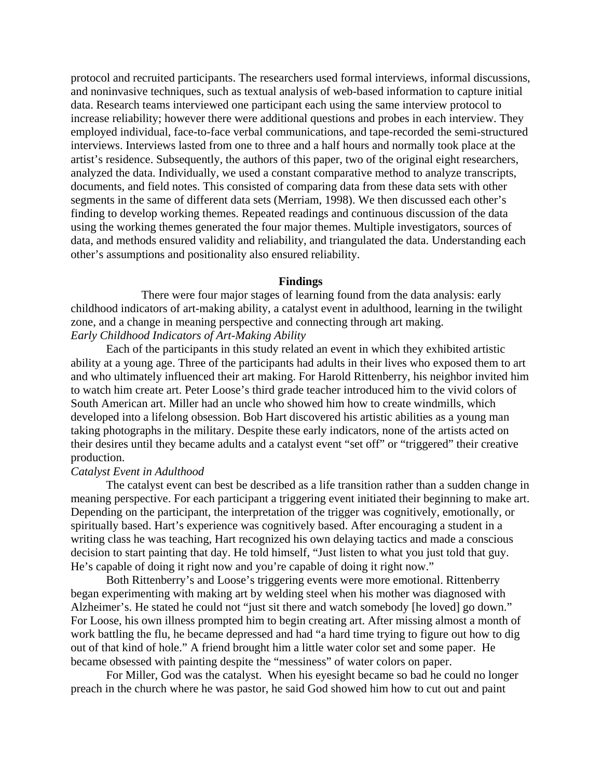protocol and recruited participants. The researchers used formal interviews, informal discussions, and noninvasive techniques, such as textual analysis of web-based information to capture initial data. Research teams interviewed one participant each using the same interview protocol to increase reliability; however there were additional questions and probes in each interview. They employed individual, face-to-face verbal communications, and tape-recorded the semi-structured interviews. Interviews lasted from one to three and a half hours and normally took place at the artist's residence. Subsequently, the authors of this paper, two of the original eight researchers, analyzed the data. Individually, we used a constant comparative method to analyze transcripts, documents, and field notes. This consisted of comparing data from these data sets with other segments in the same of different data sets (Merriam, 1998). We then discussed each other's finding to develop working themes. Repeated readings and continuous discussion of the data using the working themes generated the four major themes. Multiple investigators, sources of data, and methods ensured validity and reliability, and triangulated the data. Understanding each other's assumptions and positionality also ensured reliability.

#### **Findings**

 There were four major stages of learning found from the data analysis: early childhood indicators of art-making ability, a catalyst event in adulthood, learning in the twilight zone, and a change in meaning perspective and connecting through art making. *Early Childhood Indicators of Art-Making Ability* 

Each of the participants in this study related an event in which they exhibited artistic ability at a young age. Three of the participants had adults in their lives who exposed them to art and who ultimately influenced their art making. For Harold Rittenberry, his neighbor invited him to watch him create art. Peter Loose's third grade teacher introduced him to the vivid colors of South American art. Miller had an uncle who showed him how to create windmills, which developed into a lifelong obsession. Bob Hart discovered his artistic abilities as a young man taking photographs in the military. Despite these early indicators, none of the artists acted on their desires until they became adults and a catalyst event "set off" or "triggered" their creative production.

# *Catalyst Event in Adulthood*

The catalyst event can best be described as a life transition rather than a sudden change in meaning perspective. For each participant a triggering event initiated their beginning to make art. Depending on the participant, the interpretation of the trigger was cognitively, emotionally, or spiritually based. Hart's experience was cognitively based. After encouraging a student in a writing class he was teaching, Hart recognized his own delaying tactics and made a conscious decision to start painting that day. He told himself, "Just listen to what you just told that guy. He's capable of doing it right now and you're capable of doing it right now."

Both Rittenberry's and Loose's triggering events were more emotional. Rittenberry began experimenting with making art by welding steel when his mother was diagnosed with Alzheimer's. He stated he could not "just sit there and watch somebody [he loved] go down." For Loose, his own illness prompted him to begin creating art. After missing almost a month of work battling the flu, he became depressed and had "a hard time trying to figure out how to dig out of that kind of hole." A friend brought him a little water color set and some paper. He became obsessed with painting despite the "messiness" of water colors on paper.

For Miller, God was the catalyst. When his eyesight became so bad he could no longer preach in the church where he was pastor, he said God showed him how to cut out and paint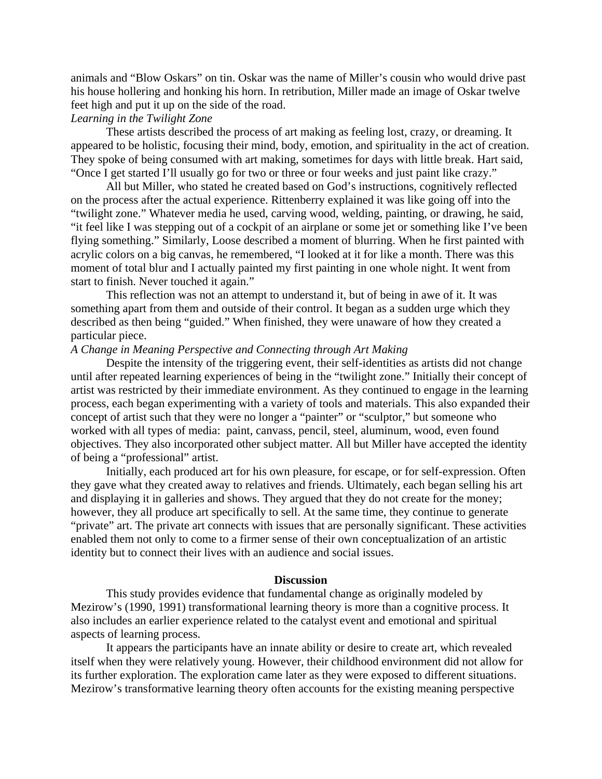animals and "Blow Oskars" on tin. Oskar was the name of Miller's cousin who would drive past his house hollering and honking his horn. In retribution, Miller made an image of Oskar twelve feet high and put it up on the side of the road.

# *Learning in the Twilight Zone*

These artists described the process of art making as feeling lost, crazy, or dreaming. It appeared to be holistic, focusing their mind, body, emotion, and spirituality in the act of creation. They spoke of being consumed with art making, sometimes for days with little break. Hart said, "Once I get started I'll usually go for two or three or four weeks and just paint like crazy."

All but Miller, who stated he created based on God's instructions, cognitively reflected on the process after the actual experience. Rittenberry explained it was like going off into the "twilight zone." Whatever media he used, carving wood, welding, painting, or drawing, he said, "it feel like I was stepping out of a cockpit of an airplane or some jet or something like I've been flying something." Similarly, Loose described a moment of blurring. When he first painted with acrylic colors on a big canvas, he remembered, "I looked at it for like a month. There was this moment of total blur and I actually painted my first painting in one whole night. It went from start to finish. Never touched it again."

This reflection was not an attempt to understand it, but of being in awe of it. It was something apart from them and outside of their control. It began as a sudden urge which they described as then being "guided." When finished, they were unaware of how they created a particular piece.

#### *A Change in Meaning Perspective and Connecting through Art Making*

Despite the intensity of the triggering event, their self-identities as artists did not change until after repeated learning experiences of being in the "twilight zone." Initially their concept of artist was restricted by their immediate environment. As they continued to engage in the learning process, each began experimenting with a variety of tools and materials. This also expanded their concept of artist such that they were no longer a "painter" or "sculptor," but someone who worked with all types of media: paint, canvass, pencil, steel, aluminum, wood, even found objectives. They also incorporated other subject matter. All but Miller have accepted the identity of being a "professional" artist.

Initially, each produced art for his own pleasure, for escape, or for self-expression. Often they gave what they created away to relatives and friends. Ultimately, each began selling his art and displaying it in galleries and shows. They argued that they do not create for the money; however, they all produce art specifically to sell. At the same time, they continue to generate "private" art. The private art connects with issues that are personally significant. These activities enabled them not only to come to a firmer sense of their own conceptualization of an artistic identity but to connect their lives with an audience and social issues.

#### **Discussion**

This study provides evidence that fundamental change as originally modeled by Mezirow's (1990, 1991) transformational learning theory is more than a cognitive process. It also includes an earlier experience related to the catalyst event and emotional and spiritual aspects of learning process.

It appears the participants have an innate ability or desire to create art, which revealed itself when they were relatively young. However, their childhood environment did not allow for its further exploration. The exploration came later as they were exposed to different situations. Mezirow's transformative learning theory often accounts for the existing meaning perspective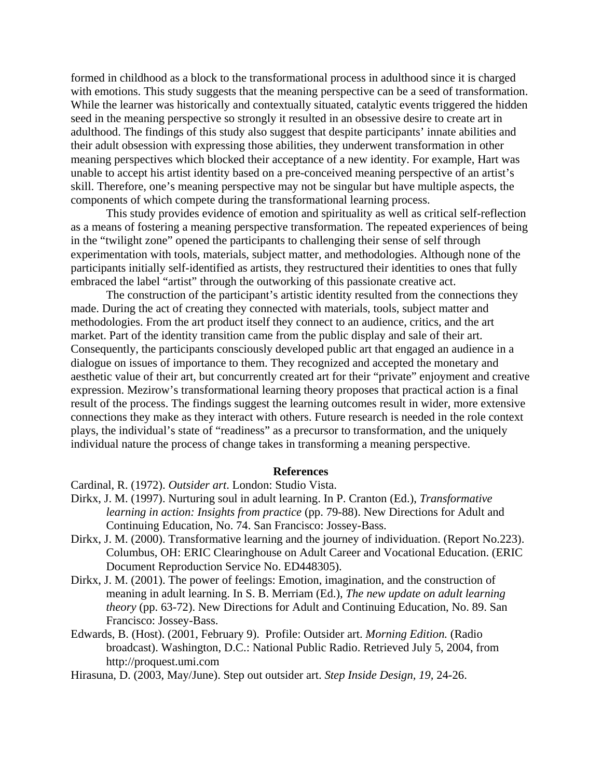formed in childhood as a block to the transformational process in adulthood since it is charged with emotions. This study suggests that the meaning perspective can be a seed of transformation. While the learner was historically and contextually situated, catalytic events triggered the hidden seed in the meaning perspective so strongly it resulted in an obsessive desire to create art in adulthood. The findings of this study also suggest that despite participants' innate abilities and their adult obsession with expressing those abilities, they underwent transformation in other meaning perspectives which blocked their acceptance of a new identity. For example, Hart was unable to accept his artist identity based on a pre-conceived meaning perspective of an artist's skill. Therefore, one's meaning perspective may not be singular but have multiple aspects, the components of which compete during the transformational learning process.

This study provides evidence of emotion and spirituality as well as critical self-reflection as a means of fostering a meaning perspective transformation. The repeated experiences of being in the "twilight zone" opened the participants to challenging their sense of self through experimentation with tools, materials, subject matter, and methodologies. Although none of the participants initially self-identified as artists, they restructured their identities to ones that fully embraced the label "artist" through the outworking of this passionate creative act.

The construction of the participant's artistic identity resulted from the connections they made. During the act of creating they connected with materials, tools, subject matter and methodologies. From the art product itself they connect to an audience, critics, and the art market. Part of the identity transition came from the public display and sale of their art. Consequently, the participants consciously developed public art that engaged an audience in a dialogue on issues of importance to them. They recognized and accepted the monetary and aesthetic value of their art, but concurrently created art for their "private" enjoyment and creative expression. Mezirow's transformational learning theory proposes that practical action is a final result of the process. The findings suggest the learning outcomes result in wider, more extensive connections they make as they interact with others. Future research is needed in the role context plays, the individual's state of "readiness" as a precursor to transformation, and the uniquely individual nature the process of change takes in transforming a meaning perspective.

# **References**

Cardinal, R. (1972). *Outsider art*. London: Studio Vista.

- Dirkx, J. M. (1997). Nurturing soul in adult learning. In P. Cranton (Ed.), *Transformative learning in action: Insights from practice* (pp. 79-88). New Directions for Adult and Continuing Education, No. 74. San Francisco: Jossey-Bass.
- Dirkx, J. M. (2000). Transformative learning and the journey of individuation. (Report No.223). Columbus, OH: ERIC Clearinghouse on Adult Career and Vocational Education. (ERIC Document Reproduction Service No. ED448305).
- Dirkx, J. M. (2001). The power of feelings: Emotion, imagination, and the construction of meaning in adult learning. In S. B. Merriam (Ed.), *The new update on adult learning theory* (pp. 63-72). New Directions for Adult and Continuing Education, No. 89. San Francisco: Jossey-Bass.
- Edwards, B. (Host). (2001, February 9). Profile: Outsider art. *Morning Edition.* (Radio broadcast). Washington, D.C.: National Public Radio. Retrieved July 5, 2004, from http://proquest.umi.com

Hirasuna, D. (2003, May/June). Step out outsider art. *Step Inside Design, 19,* 24-26.